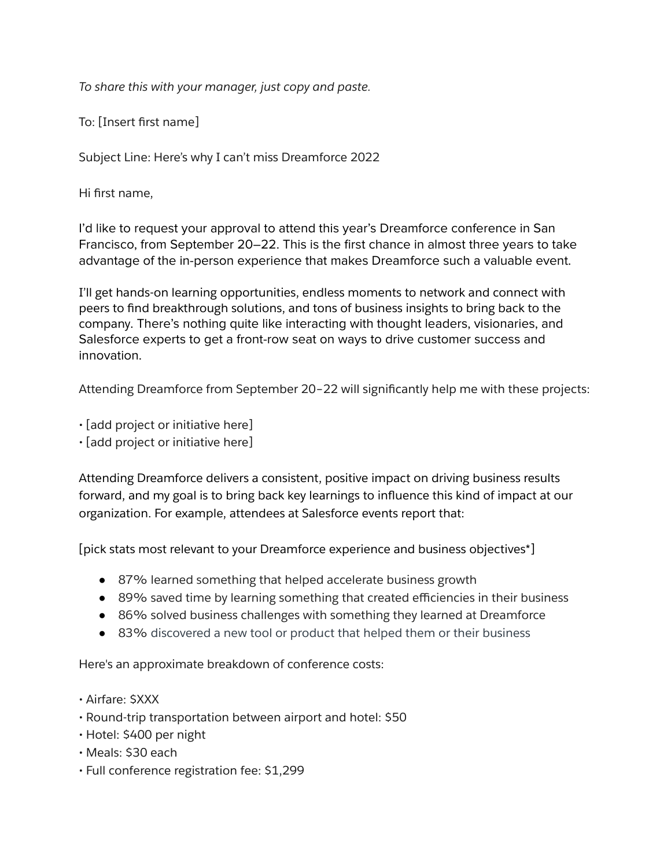*To share this with your manager, just copy and paste.*

To: [Insert first name]

Subject Line: Here's why I can't miss Dreamforce 2022

Hi first name,

I'd like to request your approval to attend this year's Dreamforce conference in San Francisco, from September 20–22. This is the first chance in almost three years to take advantage of the in-person experience that makes Dreamforce such a valuable event.

I'll get hands-on learning opportunities, endless moments to network and connect with peers to find breakthrough solutions, and tons of business insights to bring back to the company. There's nothing quite like interacting with thought leaders, visionaries, and Salesforce experts to get a front-row seat on ways to drive customer success and innovation.

Attending Dreamforce from September 20–22 will significantly help me with these projects:

• [add project or initiative here]

• [add project or initiative here]

Attending Dreamforce delivers a consistent, positive impact on driving business results forward, and my goal is to bring back key learnings to influence this kind of impact at our organization. For example, attendees at Salesforce events report that:

[pick stats most relevant to your Dreamforce experience and business objectives\*]

- 87% learned something that helped accelerate business growth
- 89% saved time by learning something that created efficiencies in their business
- 86% solved business challenges with something they learned at Dreamforce
- 83% discovered a new tool or product that helped them or their business

Here's an approximate breakdown of conference costs:

- Airfare: \$XXX
- Round-trip transportation between airport and hotel: \$50
- Hotel: \$400 per night
- Meals: \$30 each
- Full conference registration fee: \$1,299